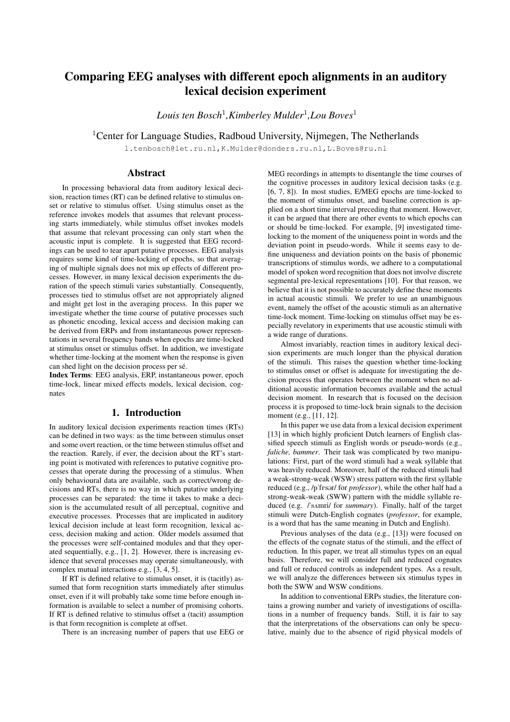# Comparing EEG analyses with different epoch alignments in an auditory lexical decision experiment

*Louis ten Bosch*<sup>1</sup> *,Kimberley Mulder*<sup>1</sup> *,Lou Boves*<sup>1</sup>

<sup>1</sup> Center for Language Studies, Radboud University, Nijmegen, The Netherlands

l.tenbosch@let.ru.nl,K.Mulder@donders.ru.nl,L.Boves@ru.nl

# Abstract

In processing behavioral data from auditory lexical decision, reaction times (RT) can be defined relative to stimulus onset or relative to stimulus offset. Using stimulus onset as the reference invokes models that assumes that relevant processing starts immediately, while stimulus offset invokes models that assume that relevant processing can only start when the acoustic input is complete. It is suggested that EEG recordings can be used to tear apart putative processes. EEG analysis requires some kind of time-locking of epochs, so that averaging of multiple signals does not mix up effects of different processes. However, in many lexical decision experiments the duration of the speech stimuli varies substantially. Consequently, processes tied to stimulus offset are not appropriately aligned and might get lost in the averaging process. In this paper we investigate whether the time course of putative processes such as phonetic encoding, lexical access and decision making can be derived from ERPs and from instantaneous power representations in several frequency bands when epochs are time-locked at stimulus onset or stimulus offset. In addition, we investigate whether time-locking at the moment when the response is given can shed light on the decision process per sé.

Index Terms: EEG analysis, ERP, instantaneous power, epoch time-lock, linear mixed effects models, lexical decision, cognates

# 1. Introduction

In auditory lexical decision experiments reaction times (RTs) can be defined in two ways: as the time between stimulus onset and some overt reaction, or the time between stimulus offset and the reaction. Rarely, if ever, the decision about the RT's starting point is motivated with references to putative cognitive processes that operate during the processing of a stimulus. When only behavioural data are available, such as correct/wrong decisions and RTs, there is no way in which putative underlying processes can be separated: the time it takes to make a decision is the accumulated result of all perceptual, cognitive and executive processes. Processes that are implicated in auditory lexical decision include at least form recognition, lexical access, decision making and action. Older models assumed that the processes were self-contained modules and that they operated sequentially, e.g., [1, 2]. However, there is increasing evidence that several processes may operate simultaneously, with complex mutual interactions e.g., [3, 4, 5].

If RT is defined relative to stimulus onset, it is (tacitly) assumed that form recognition starts immediately after stimulus onset, even if it will probably take some time before enough information is available to select a number of promising cohorts. If RT is defined relative to stimulus offset a (tacit) assumption is that form recognition is complete at offset.

There is an increasing number of papers that use EEG or

MEG recordings in attempts to disentangle the time courses of the cognitive processes in auditory lexical decision tasks (e.g. [6, 7, 8]). In most studies, E/MEG epochs are time-locked to the moment of stimulus onset, and baseline correction is applied on a short time interval preceding that moment. However, it can be argued that there are other events to which epochs can or should be time-locked. For example, [9] investigated timelocking to the moment of the uniqueness point in words and the deviation point in pseudo-words. While it seems easy to define uniqueness and deviation points on the basis of phonemic transcriptions of stimulus words, we adhere to a computational model of spoken word recognition that does not involve discrete segmental pre-lexical representations [10]. For that reason, we believe that it is not possible to accurately define these moments in actual acoustic stimuli. We prefer to use an unambiguous event, namely the offset of the acoustic stimuli as an alternative time-lock moment. Time-locking on stimulus offset may be especially revelatory in experiments that use acoustic stimuli with a wide range of durations.

Almost invariably, reaction times in auditory lexical decision experiments are much longer than the physical duration of the stimuli. This raises the question whether time-locking to stimulus onset or offset is adequate for investigating the decision process that operates between the moment when no additional acoustic information becomes available and the actual decision moment. In research that is focused on the decision process it is proposed to time-lock brain signals to the decision moment (e.g., [11, 12].

In this paper we use data from a lexical decision experiment [13] in which highly proficient Dutch learners of English classified speech stimuli as English words or pseudo-words (e.g., *faliche, bammer*. Their task was complicated by two manipulations: First, part of the word stimuli had a weak syllable that was heavily reduced. Moreover, half of the reduced stimuli had a weak-strong-weak (WSW) stress pattern with the first syllable reduced (e.g., /p'fesor/ for *professor*), while the other half had a strong-weak-weak (SWW) pattern with the middle syllable reduced (e.g. *l*'s<sub>A</sub>mri/ for *summary*). Finally, half of the target stimuli were Dutch-English cognates (*professor*, for example, is a word that has the same meaning in Dutch and English).

Previous analyses of the data (e.g., [13]) were focused on the effects of the cognate status of the stimuli, and the effect of reduction. In this paper, we treat all stimulus types on an equal basis. Therefore, we will consider full and reduced cognates and full or reduced controls as independent types. As a result, we will analyze the differences between six stimulus types in both the SWW and WSW conditions.

In addition to conventional ERPs studies, the literature contains a growing number and variety of investigations of oscillations in a number of frequency bands. Still, it is fair to say that the interpretations of the observations can only be speculative, mainly due to the absence of rigid physical models of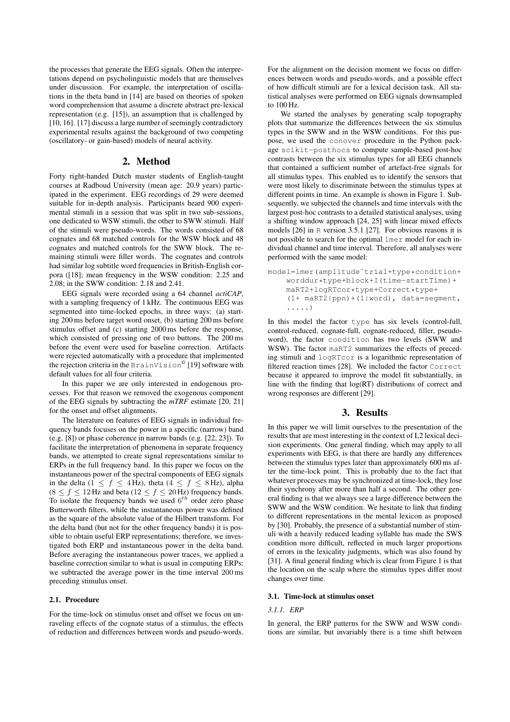the processes that generate the EEG signals. Often the interpretations depend on psycholinguistic models that are themselves under discussion. For example, the interpretation of oscillations in the theta band in [14] are based on theories of spoken word comprehension that assume a discrete abstract pre-lexical representation (e.g. [15]), an assumption that is challenged by [10, 16]. [17] discuss a large number of seemingly contradictory experimental results against the background of two competing (oscillatory- or gain-based) models of neural activity.

## 2. Method

Forty right-handed Dutch master students of English-taught courses at Radboud University (mean age: 20.9 years) participated in the experiment. EEG recordings of 29 were deemed suitable for in-depth analysis. Participants heard 900 experimental stimuli in a session that was split in two sub-sessions, one dedicated to WSW stimuli, the other to SWW stimuli. Half of the stimuli were pseudo-words. The words consisted of 68 cognates and 68 matched controls for the WSW block and 48 cognates and matched controls for the SWW block. The remaining stimuli were filler words. The cognates and controls had similar log subtitle word frequencies in British-English corpora ([18]; mean frequency in the WSW condition: 2.25 and 2.08; in the SWW condition: 2.18 and 2.41.

EEG signals were recorded using a 64 channel *actiCAP*, with a sampling frequency of 1 kHz. The continuous EEG was segmented into time-locked epochs, in three ways: (a) starting 200 ms before target word onset, (b) starting 200 ms before stimulus offset and (c) starting 2000 ms before the response, which consisted of pressing one of two buttons. The 200 ms before the event were used for baseline correction. Artifacts were rejected automatically with a procedure that implemented the rejection criteria in the BrainVision $^\copyright$  [19] software with default values for all four criteria.

In this paper we are only interested in endogenous processes. For that reason we removed the exogenous component of the EEG signals by subtracting the *mTRF* estimate [20, 21] for the onset and offset alignments.

The literature on features of EEG signals in individual frequency bands focuses on the power in a specific (narrow) band (e.g. [8]) or phase coherence in narrow bands (e.g. [22, 23]). To facilitate the interpretation of phenomena in separate frequency bands, we attempted to create signal representations similar to ERPs in the full frequency band. In this paper we focus on the instantaneous power of the spectral components of EEG signals in the delta (1  $\leq f \leq$  4 Hz), theta (4  $\leq f \leq$  8 Hz), alpha  $(8 \le f \le 12 \text{ Hz}$  and beta  $(12 \le f \le 20 \text{ Hz})$  frequency bands. To isolate the frequency bands we used  $6^{th}$  order zero phase Butterworth filters, while the instantaneous power was defined as the square of the absolute value of the Hilbert transform. For the delta band (but not for the other frequency bands) it is possible to obtain useful ERP representations; therefore, we investigated both ERP and instantaneous power in the delta band. Before averaging the instantaneous power traces, we applied a baseline correction similar to what is usual in computing ERPs: we subtracted the average power in the time interval 200 ms preceding stimulus onset.

## 2.1. Procedure

For the time-lock on stimulus onset and offset we focus on unraveling effects of the cognate status of a stimulus, the effects of reduction and differences between words and pseudo-words. For the alignment on the decision moment we focus on differences between words and pseudo-words, and a possible effect of how difficult stimuli are for a lexical decision task. All statistical analyses were performed on EEG signals downsampled to 100 Hz.

We started the analyses by generating scalp topography plots that summarize the differences between the six stimulus types in the SWW and in the WSW conditions. For this purpose, we used the conover procedure in the Python package scikit-posthocs to compute sample-based post-hoc contrasts between the six stimulus types for all EEG channels that contained a sufficient number of artefact-free signals for all stimulus types. This enabled us to identify the sensors that were most likely to discriminate between the stimulus types at different points in time. An example is shown in Figure 1. Subsequently, we subjected the channels and time intervals with the largest post-hoc contrasts to a detailed statistical analyses, using a shifting window approach [24, 25] with linear mixed effects models [26] in R version 3.5.1 [27]. For obvious reasons it is not possible to search for the optimal lmer model for each individual channel and time interval. Therefore, all analyses were performed with the same model:

model=lmer(amplitude˜trial+type\*condition+ worddur\*type+block+I(time-startTime)+ maRT2+logRTcor\*type+Correct\*type+ (1+ maRT2|ppn)+(1|word), data=segment, .....)

In this model the factor type has six levels (control-full, control-reduced, cognate-full, cognate-reduced, filler, pseudoword), the factor condition has two levels (SWW and WSW). The factor maRT2 summarizes the effects of preceding stimuli and logRTcor is a logarithmic representation of filtered reaction times [28]. We included the factor Correct because it appeared to improve the model fit substantially, in line with the finding that log(RT) distributions of correct and wrong responses are different [29].

# 3. Results

In this paper we will limit ourselves to the presentation of the results that are most interesting in the context of L2 lexical decision experiments. One general finding, which may apply to all experiments with EEG, is that there are hardly any differences between the stimulus types later than approximately 600 ms after the time-lock point. This is probably due to the fact that whatever processes may be synchronized at time-lock, they lose their synchrony after more than half a second. The other general finding is that we always see a large difference between the SWW and the WSW condition. We hesitate to link that finding to different representations in the mental lexicon as proposed by [30]. Probably, the presence of a substantial number of stimuli with a heavily reduced leading syllable has made the SWS condition more difficult, reflected in much larger proportions of errors in the lexicality judgments, which was also found by [31]. A final general finding which is clear from Figure 1 is that the location on the scalp where the stimulus types differ most changes over time.

#### 3.1. Time-lock at stimulus onset

#### *3.1.1. ERP*

In general, the ERP patterns for the SWW and WSW conditions are similar, but invariably there is a time shift between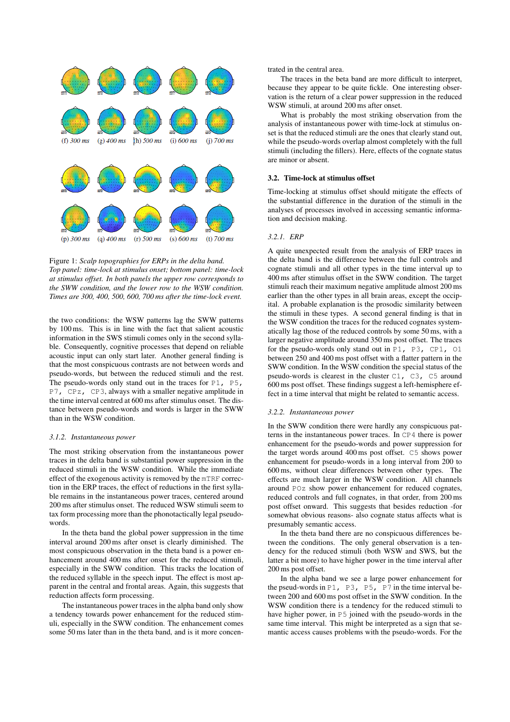

Figure 1: *Scalp topographies for ERPs in the delta band. Top panel: time-lock at stimulus onset; bottom panel: time-lock at stimulus offset. In both panels the upper row corresponds to the SWW condition, and the lower row to the WSW condition. Times are 300, 400, 500, 600, 700 ms after the time-lock event.*

the two conditions: the WSW patterns lag the SWW patterns by 100 ms. This is in line with the fact that salient acoustic information in the SWS stimuli comes only in the second syllable. Consequently, cognitive processes that depend on reliable acoustic input can only start later. Another general finding is that the most conspicuous contrasts are not between words and pseudo-words, but between the reduced stimuli and the rest. The pseudo-words only stand out in the traces for  $P1$ ,  $P5$ , P7, CPz, CP3, always with a smaller negative amplitude in the time interval centred at 600 ms after stimulus onset. The distance between pseudo-words and words is larger in the SWW than in the WSW condition.

#### *3.1.2. Instantaneous power*

The most striking observation from the instantaneous power traces in the delta band is substantial power suppression in the reduced stimuli in the WSW condition. While the immediate effect of the exogenous activity is removed by the mTRF correction in the ERP traces, the effect of reductions in the first syllable remains in the instantaneous power traces, centered around 200 ms after stimulus onset. The reduced WSW stimuli seem to tax form processing more than the phonotactically legal pseudowords.

In the theta band the global power suppression in the time interval around 200 ms after onset is clearly diminished. The most conspicuous observation in the theta band is a power enhancement around 400 ms after onset for the reduced stimuli, especially in the SWW condition. This tracks the location of the reduced syllable in the speech input. The effect is most apparent in the central and frontal areas. Again, this suggests that reduction affects form processing.

The instantaneous power traces in the alpha band only show a tendency towards power enhancement for the reduced stimuli, especially in the SWW condition. The enhancement comes some 50 ms later than in the theta band, and is it more concentrated in the central area.

The traces in the beta band are more difficult to interpret, because they appear to be quite fickle. One interesting observation is the return of a clear power suppression in the reduced WSW stimuli, at around 200 ms after onset.

What is probably the most striking observation from the analysis of instantaneous power with time-lock at stimulus onset is that the reduced stimuli are the ones that clearly stand out, while the pseudo-words overlap almost completely with the full stimuli (including the fillers). Here, effects of the cognate status are minor or absent.

#### 3.2. Time-lock at stimulus offset

Time-locking at stimulus offset should mitigate the effects of the substantial difference in the duration of the stimuli in the analyses of processes involved in accessing semantic information and decision making.

#### *3.2.1. ERP*

A quite unexpected result from the analysis of ERP traces in the delta band is the difference between the full controls and cognate stimuli and all other types in the time interval up to 400 ms after stimulus offset in the SWW condition. The target stimuli reach their maximum negative amplitude almost 200 ms earlier than the other types in all brain areas, except the occipital. A probable explanation is the prosodic similarity between the stimuli in these types. A second general finding is that in the WSW condition the traces for the reduced cognates systematically lag those of the reduced controls by some 50 ms, with a larger negative amplitude around 350 ms post offset. The traces for the pseudo-words only stand out in P1, P3, CP1, O1 between 250 and 400 ms post offset with a flatter pattern in the SWW condition. In the WSW condition the special status of the pseudo-words is clearest in the cluster C1, C3, C5 around 600 ms post offset. These findings suggest a left-hemisphere effect in a time interval that might be related to semantic access.

#### *3.2.2. Instantaneous power*

In the SWW condition there were hardly any conspicuous patterns in the instantaneous power traces. In CP4 there is power enhancement for the pseudo-words and power suppression for the target words around 400 ms post offset. C5 shows power enhancement for pseudo-words in a long interval from 200 to 600 ms, without clear differences between other types. The effects are much larger in the WSW condition. All channels around POz show power enhancement for reduced cognates, reduced controls and full cognates, in that order, from 200 ms post offset onward. This suggests that besides reduction -for somewhat obvious reasons- also cognate status affects what is presumably semantic access.

In the theta band there are no conspicuous differences between the conditions. The only general observation is a tendency for the reduced stimuli (both WSW and SWS, but the latter a bit more) to have higher power in the time interval after 200 ms post offset.

In the alpha band we see a large power enhancement for the pseud-words in P1, P3, P5, P7 in the time interval between 200 and 600 ms post offset in the SWW condition. In the WSW condition there is a tendency for the reduced stimuli to have higher power, in P5 joined with the pseudo-words in the same time interval. This might be interpreted as a sign that semantic access causes problems with the pseudo-words. For the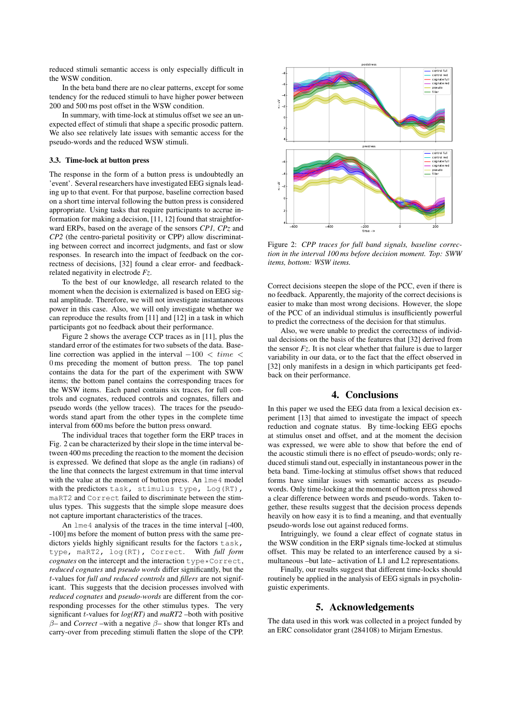reduced stimuli semantic access is only especially difficult in the WSW condition.

In the beta band there are no clear patterns, except for some tendency for the reduced stimuli to have higher power between 200 and 500 ms post offset in the WSW condition.

In summary, with time-lock at stimulus offset we see an unexpected effect of stimuli that shape a specific prosodic pattern. We also see relatively late issues with semantic access for the pseudo-words and the reduced WSW stimuli.

#### 3.3. Time-lock at button press

The response in the form of a button press is undoubtedly an 'event'. Several researchers have investigated EEG signals leading up to that event. For that purpose, baseline correction based on a short time interval following the button press is considered appropriate. Using tasks that require participants to accrue information for making a decision, [11, 12] found that straightforward ERPs, based on the average of the sensors *CP1, CPz* and *CP2* (the centro-parietal positivity or CPP) allow discriminating between correct and incorrect judgments, and fast or slow responses. In research into the impact of feedback on the correctness of decisions, [32] found a clear error- and feedbackrelated negativity in electrode *Fz*.

To the best of our knowledge, all research related to the moment when the decision is externalized is based on EEG signal amplitude. Therefore, we will not investigate instantaneous power in this case. Also, we will only investigate whether we can reproduce the results from [11] and [12] in a task in which participants got no feedback about their performance.

Figure 2 shows the average CCP traces as in [11], plus the standard error of the estimates for two subsets of the data. Baseline correction was applied in the interval  $-100 < time <$ 0 ms preceding the moment of button press. The top panel contains the data for the part of the experiment with SWW items; the bottom panel contains the corresponding traces for the WSW items. Each panel contains six traces, for full controls and cognates, reduced controls and cognates, fillers and pseudo words (the yellow traces). The traces for the pseudowords stand apart from the other types in the complete time interval from 600 ms before the button press onward.

The individual traces that together form the ERP traces in Fig. 2 can be characterized by their slope in the time interval between 400 ms preceding the reaction to the moment the decision is expressed. We defined that slope as the angle (in radians) of the line that connects the largest extremum in that time interval with the value at the moment of button press. An  $\text{1me4}$  model with the predictors task, stimulus type, Log(RT), maRT2 and Correct failed to discriminate between the stimulus types. This suggests that the simple slope measure does not capture important characteristics of the traces.

An  $l$ me4 analysis of the traces in the time interval [-400, -100] ms before the moment of button press with the same predictors yields highly significant results for the factors  $task$ , type, maRT2, log(RT), Correct. With *full form cognates* on the intercept and the interaction type\*Correct, *reduced cognates* and *pseudo words* differ significantly, but the t-values for *full and reduced controls* and *fillers* are not significant. This suggests that the decision processes involved with *reduced cognates* and *pseudo-words* are different from the corresponding processes for the other stimulus types. The very significant  $t$ -values for  $log(RT)$  and  $maRT2$  –both with positive β– and *Correct* –with a negative β– show that longer RTs and carry-over from preceding stimuli flatten the slope of the CPP.



Figure 2: *CPP traces for full band signals, baseline correction in the interval 100 ms before decision moment. Top: SWW items, bottom: WSW items.*

Correct decisions steepen the slope of the PCC, even if there is no feedback. Apparently, the majority of the correct decisions is easier to make than most wrong decisions. However, the slope of the PCC of an individual stimulus is insufficiently powerful to predict the correctness of the decision for that stimulus.

Also, we were unable to predict the correctness of individual decisions on the basis of the features that [32] derived from the sensor *Fz*. It is not clear whether that failure is due to larger variability in our data, or to the fact that the effect observed in [32] only manifests in a design in which participants get feedback on their performance.

## 4. Conclusions

In this paper we used the EEG data from a lexical decision experiment [13] that aimed to investigate the impact of speech reduction and cognate status. By time-locking EEG epochs at stimulus onset and offset, and at the moment the decision was expressed, we were able to show that before the end of the acoustic stimuli there is no effect of pseudo-words; only reduced stimuli stand out, especially in instantaneous power in the beta band. Time-locking at stimulus offset shows that reduced forms have similar issues with semantic access as pseudowords. Only time-locking at the moment of button press showed a clear difference between words and pseudo-words. Taken together, these results suggest that the decision process depends heavily on how easy it is to find a meaning, and that eventually pseudo-words lose out against reduced forms.

Intriguingly, we found a clear effect of cognate status in the WSW condition in the ERP signals time-locked at stimulus offset. This may be related to an interference caused by a simultaneous –but late– activation of L1 and L2 representations.

Finally, our results suggest that different time-locks should routinely be applied in the analysis of EEG signals in psycholinguistic experiments.

# 5. Acknowledgements

The data used in this work was collected in a project funded by an ERC consolidator grant (284108) to Mirjam Ernestus.